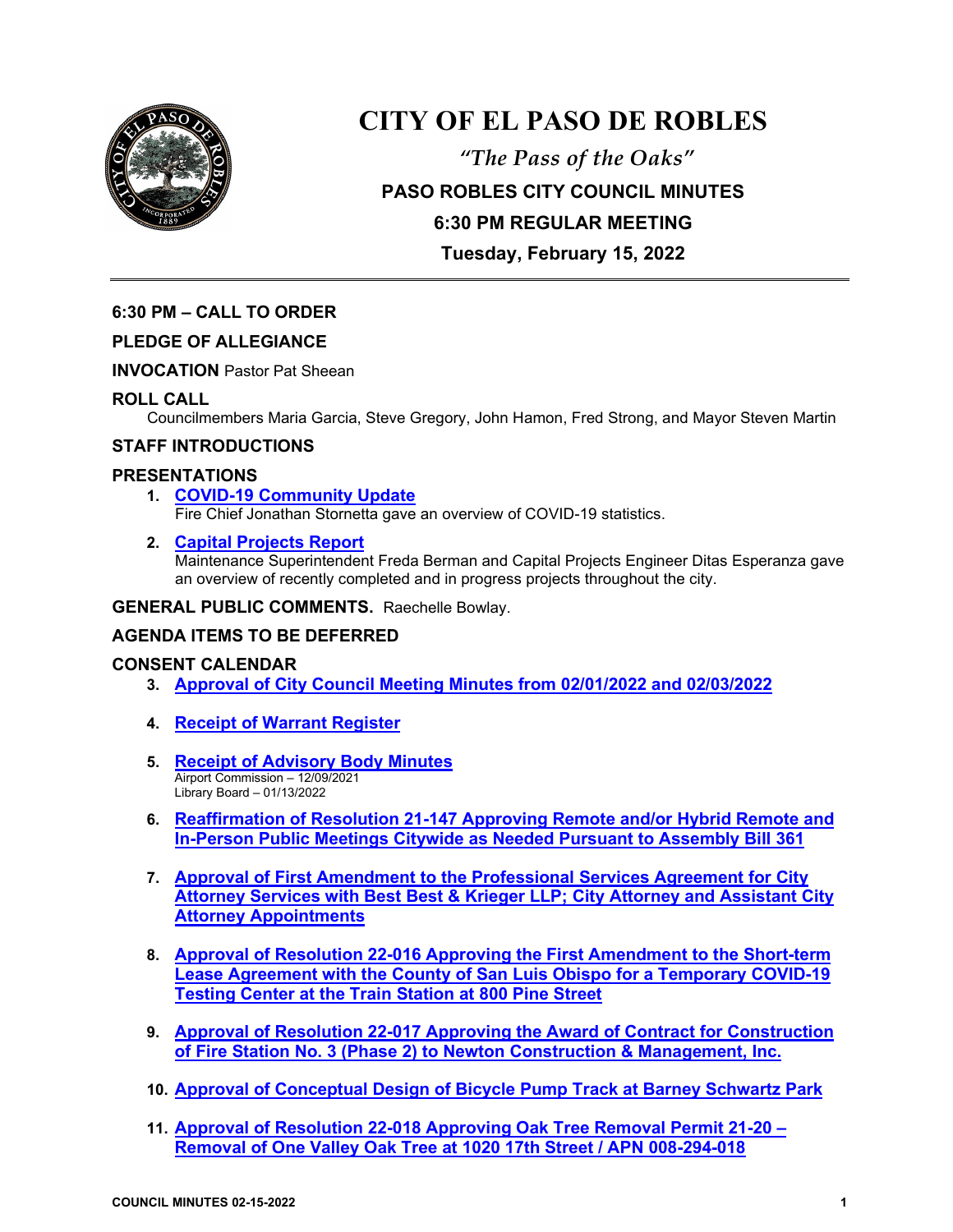

# **CITY OF EL PASO DE ROBLES**

*"The Pass of the Oaks"* **PASO ROBLES CITY COUNCIL MINUTES 6:30 PM REGULAR MEETING Tuesday, February 15, 2022**

## **6:30 PM – CALL TO ORDER**

## **PLEDGE OF ALLEGIANCE**

**INVOCATION** Pastor Pat Sheean

## **ROLL CALL**

Councilmembers Maria Garcia, Steve Gregory, John Hamon, Fred Strong, and Mayor Steven Martin

#### **STAFF INTRODUCTIONS**

#### **PRESENTATIONS**

- **1. [COVID-19 Community Update](https://www.prcity.com/DocumentCenter/View/33189/February-15-2022-City-Council-Agenda-Item-01-PDF)**  Fire Chief Jonathan Stornetta gave an overview of COVID-19 statistics.
- **2. [Capital Projects Report](https://www.prcity.com/DocumentCenter/View/33190/February-15-2022-City-Council-Agenda-Item-02-PDF)**

Maintenance Superintendent Freda Berman and Capital Projects Engineer Ditas Esperanza gave an overview of recently completed and in progress projects throughout the city.

**GENERAL PUBLIC COMMENTS.** Raechelle Bowlay.

## **AGENDA ITEMS TO BE DEFERRED**

#### **CONSENT CALENDAR**

- **3. [Approval of City Council Meeting Minutes from 02/01/2022](https://www.prcity.com/DocumentCenter/View/33191/February-15-2022-City-Council-Agenda-Item-03-PDF) and 02/03/2022**
- **4. Receipt [of Warrant Register](https://www.prcity.com/DocumentCenter/View/33192/February-15-2022-City-Council-Agenda-Item-04-PDF)**
- **5. [Receipt of Advisory Body Minutes](https://www.prcity.com/DocumentCenter/View/33193/February-15-2022-City-Council-Agenda-Item-05-PDF)** Airport Commission – 12/09/2021 Library Board – 01/13/2022
- **6. [Reaffirmation of Resolution 21-147 Approving Remote and/or Hybrid Remote and](https://www.prcity.com/DocumentCenter/View/33194/February-15-2022-City-Council-Agenda-Item-06-PDF)  [In-Person Public Meetings Citywide as Needed Pursuant to Assembly Bill 361](https://www.prcity.com/DocumentCenter/View/33194/February-15-2022-City-Council-Agenda-Item-06-PDF)**
- **7. [Approval of First Amendment to the Professional Services Agreement for City](https://www.prcity.com/DocumentCenter/View/33195/February-15-2022-City-Council-Agenda-Item-07-PDF)  [Attorney Services with Best Best & Krieger LLP; City Attorney and Assistant City](https://www.prcity.com/DocumentCenter/View/33195/February-15-2022-City-Council-Agenda-Item-07-PDF)  [Attorney Appointments](https://www.prcity.com/DocumentCenter/View/33195/February-15-2022-City-Council-Agenda-Item-07-PDF)**
- **8. Approval of Resolution 22-016 [Approving the First Amendment to](https://www.prcity.com/DocumentCenter/View/33196/February-15-2022-City-Council-Agenda-Item-08-PDF) the Short-term [Lease Agreement with the County of San Luis Obispo for a Temporary COVID-19](https://www.prcity.com/DocumentCenter/View/33196/February-15-2022-City-Council-Agenda-Item-08-PDF)  [Testing Center at the Train Station at 800 Pine Street](https://www.prcity.com/DocumentCenter/View/33196/February-15-2022-City-Council-Agenda-Item-08-PDF)**
- **9. Approval of Resolution 22-017 [Approving the Award of Contract for Construction](https://www.prcity.com/DocumentCenter/View/33197/February-15-2022-City-Council-Agenda-Item-09-PDF)  [of Fire Station No. 3 \(Phase 2\) to Newton Construction & Management, Inc.](https://www.prcity.com/DocumentCenter/View/33197/February-15-2022-City-Council-Agenda-Item-09-PDF)**
- **10. [Approval of Conceptual Design of Bicycle Pump Track at Barney Schwartz Park](https://www.prcity.com/DocumentCenter/View/33198/February-15-2022-City-Council-Agenda-Item-10-PDF)**
- **11. [Approval of Resolution 22-018 Approving Oak Tree Removal Permit 21-20 –](https://www.prcity.com/DocumentCenter/View/33199/February-15-2022-City-Council-Agenda-Item-11-PDF) [Removal of One Valley Oak Tree at 1020 17th Street / APN 008-294-018](https://www.prcity.com/DocumentCenter/View/33199/February-15-2022-City-Council-Agenda-Item-11-PDF)**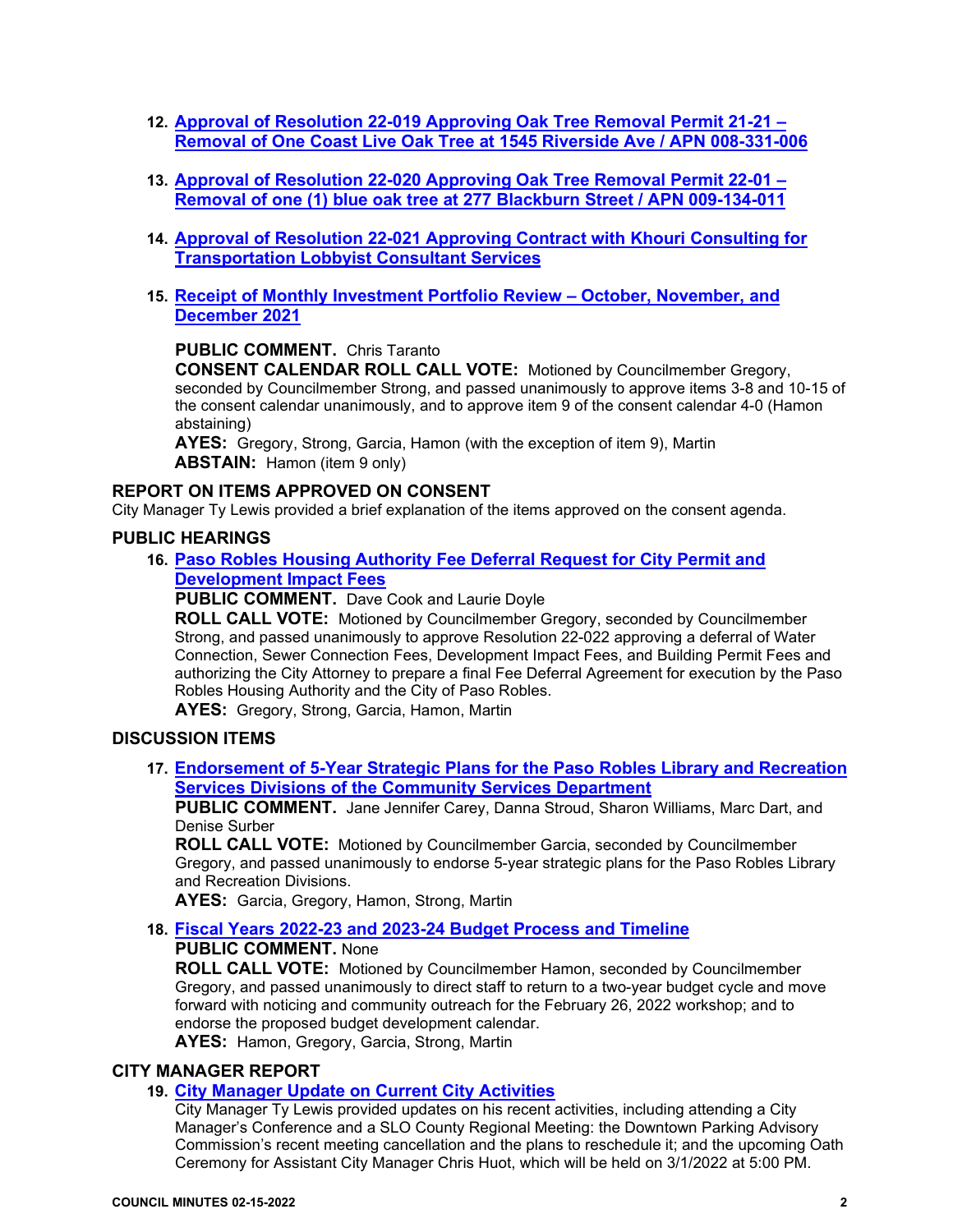- **12. [Approval of Resolution 22-019 Approving Oak Tree Removal Permit 21-21 –](https://www.prcity.com/DocumentCenter/View/33200/February-15-2022-City-Council-Agenda-Item-12-PDF) [Removal of One Coast Live Oak Tree at 1545 Riverside Ave / APN 008-331-006](https://www.prcity.com/DocumentCenter/View/33200/February-15-2022-City-Council-Agenda-Item-12-PDF)**
- **13. [Approval of Resolution 22-020 Approving Oak Tree Removal Permit 22-01 –](https://www.prcity.com/DocumentCenter/View/33201/February-15-2022-City-Council-Agenda-Item-13-PDF) [Removal of one \(1\) blue oak tree at 277 Blackburn Street / APN 009-134-011](https://www.prcity.com/DocumentCenter/View/33201/February-15-2022-City-Council-Agenda-Item-13-PDF)**
- **14. [Approval of Resolution 22-021 Approving](https://www.prcity.com/DocumentCenter/View/33202/February-15-2022-City-Council-Agenda-Item-14-PDF) Contract with Khouri Consulting for [Transportation Lobbyist Consultant Services](https://www.prcity.com/DocumentCenter/View/33202/February-15-2022-City-Council-Agenda-Item-14-PDF)**
- **15. [Receipt of Monthly Investment Portfolio Review –](https://www.prcity.com/DocumentCenter/View/33183/February-15-2022-City-Council-Agenda-Item-15-PDF) October, November, and [December 2021](https://www.prcity.com/DocumentCenter/View/33183/February-15-2022-City-Council-Agenda-Item-15-PDF)**

**PUBLIC COMMENT.** Chris Taranto

**CONSENT CALENDAR ROLL CALL VOTE:** Motioned by Councilmember Gregory, seconded by Councilmember Strong, and passed unanimously to approve items 3-8 and 10-15 of the consent calendar unanimously, and to approve item 9 of the consent calendar 4-0 (Hamon abstaining)

**AYES:** Gregory, Strong, Garcia, Hamon (with the exception of item 9), Martin **ABSTAIN:** Hamon (item 9 only)

#### **REPORT ON ITEMS APPROVED ON CONSENT**

City Manager Ty Lewis provided a brief explanation of the items approved on the consent agenda.

#### **PUBLIC HEARINGS**

#### **16. [Paso Robles Housing Authority Fee Deferral Request for City Permit and](https://www.prcity.com/DocumentCenter/View/33184/February-15-2022-City-Council-Agenda-Item-16-PDF)  [Development Impact Fees](https://www.prcity.com/DocumentCenter/View/33184/February-15-2022-City-Council-Agenda-Item-16-PDF)**

**PUBLIC COMMENT.** Dave Cook and Laurie Doyle

**ROLL CALL VOTE:** Motioned by Councilmember Gregory, seconded by Councilmember Strong, and passed unanimously to approve Resolution 22-022 approving a deferral of Water Connection, Sewer Connection Fees, Development Impact Fees, and Building Permit Fees and authorizing the City Attorney to prepare a final Fee Deferral Agreement for execution by the Paso Robles Housing Authority and the City of Paso Robles.

**AYES:** Gregory, Strong, Garcia, Hamon, Martin

#### **DISCUSSION ITEMS**

**17. [Endorsement of 5-Year Strategic Plans for the Paso Robles Library and Recreation](https://www.prcity.com/DocumentCenter/View/33185/February-15-2022-City-Council-Agenda-Item-17-PDF)  [Services Divisions of the Community Services Department](https://www.prcity.com/DocumentCenter/View/33185/February-15-2022-City-Council-Agenda-Item-17-PDF)**

**PUBLIC COMMENT.** Jane Jennifer Carey, Danna Stroud, Sharon Williams, Marc Dart, and Denise Surber

**ROLL CALL VOTE:** Motioned by Councilmember Garcia, seconded by Councilmember Gregory, and passed unanimously to endorse 5-year strategic plans for the Paso Robles Library and Recreation Divisions.

**AYES:** Garcia, Gregory, Hamon, Strong, Martin

**18. [Fiscal Years 2022-23 and 2023-24 Budget Process and Timeline](https://www.prcity.com/DocumentCenter/View/33186/February-15-2022-City-Council-Agenda-Item-18-PDF) PUBLIC COMMENT.** None

**ROLL CALL VOTE:** Motioned by Councilmember Hamon, seconded by Councilmember Gregory, and passed unanimously to direct staff to return to a two-year budget cycle and move forward with noticing and community outreach for the February 26, 2022 workshop; and to endorse the proposed budget development calendar.

**AYES:** Hamon, Gregory, Garcia, Strong, Martin

#### **CITY MANAGER REPORT**

#### **19. [City Manager Update on](https://www.prcity.com/DocumentCenter/View/33187/February-15-2022-City-Council-Agenda-Item-19-PDF) Current City Activities**

City Manager Ty Lewis provided updates on his recent activities, including attending a City Manager's Conference and a SLO County Regional Meeting: the Downtown Parking Advisory Commission's recent meeting cancellation and the plans to reschedule it; and the upcoming Oath Ceremony for Assistant City Manager Chris Huot, which will be held on 3/1/2022 at 5:00 PM.